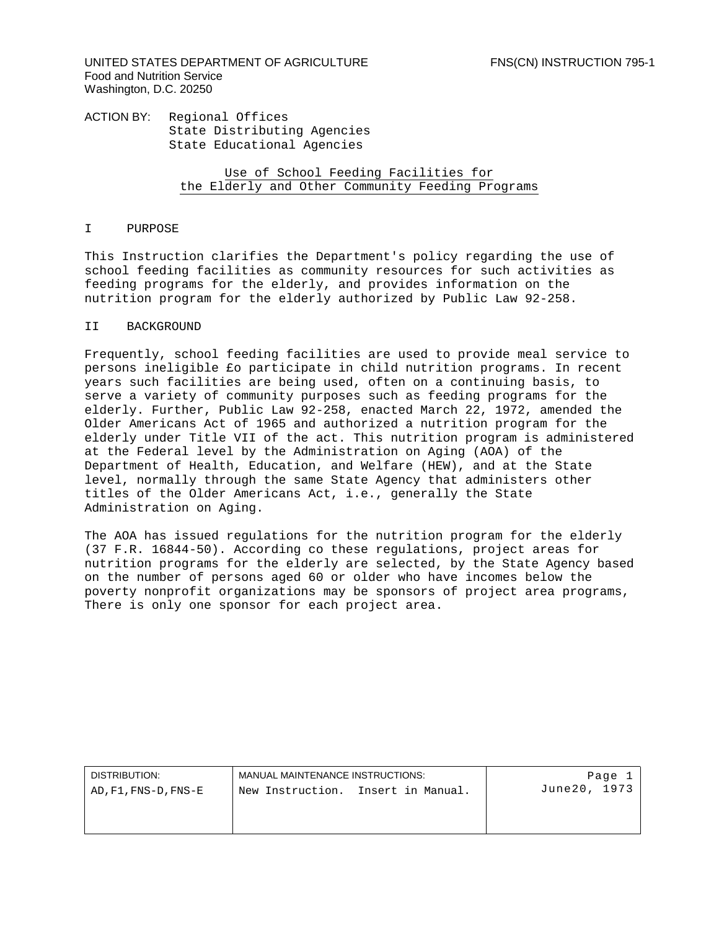UNITED STATES DEPARTMENT OF AGRICULTURE FNS(CN) INSTRUCTION 795-1 Food and Nutrition Service Washington, D.C. 20250

ACTION BY: Regional Offices State Distributing Agencies State Educational Agencies

> Use of School Feeding Facilities for the Elderly and Other Community Feeding Programs

# I PURPOSE

This Instruction clarifies the Department's policy regarding the use of school feeding facilities as community resources for such activities as feeding programs for the elderly, and provides information on the nutrition program for the elderly authorized by Public Law 92-258.

# II BACKGROUND

Frequently, school feeding facilities are used to provide meal service to persons ineligible £o participate in child nutrition programs. In recent years such facilities are being used, often on a continuing basis, to serve a variety of community purposes such as feeding programs for the elderly. Further, Public Law 92-258, enacted March 22, 1972, amended the Older Americans Act of 1965 and authorized a nutrition program for the elderly under Title VII of the act. This nutrition program is administered at the Federal level by the Administration on Aging (AOA) of the Department of Health, Education, and Welfare (HEW), and at the State level, normally through the same State Agency that administers other titles of the Older Americans Act, i.e., generally the State Administration on Aging.

The AOA has issued regulations for the nutrition program for the elderly (37 F.R. 16844-50). According co these regulations, project areas for nutrition programs for the elderly are selected, by the State Agency based on the number of persons aged 60 or older who have incomes below the poverty nonprofit organizations may be sponsors of project area programs, There is only one sponsor for each project area.

| DISTRIBUTION:        | MANUAL MAINTENANCE INSTRUCTIONS: |                   | Page 1        |
|----------------------|----------------------------------|-------------------|---------------|
| AD, F1, FNS-D, FNS-E | New Instruction.                 | Insert in Manual. | June 20, 1973 |
|                      |                                  |                   |               |
|                      |                                  |                   |               |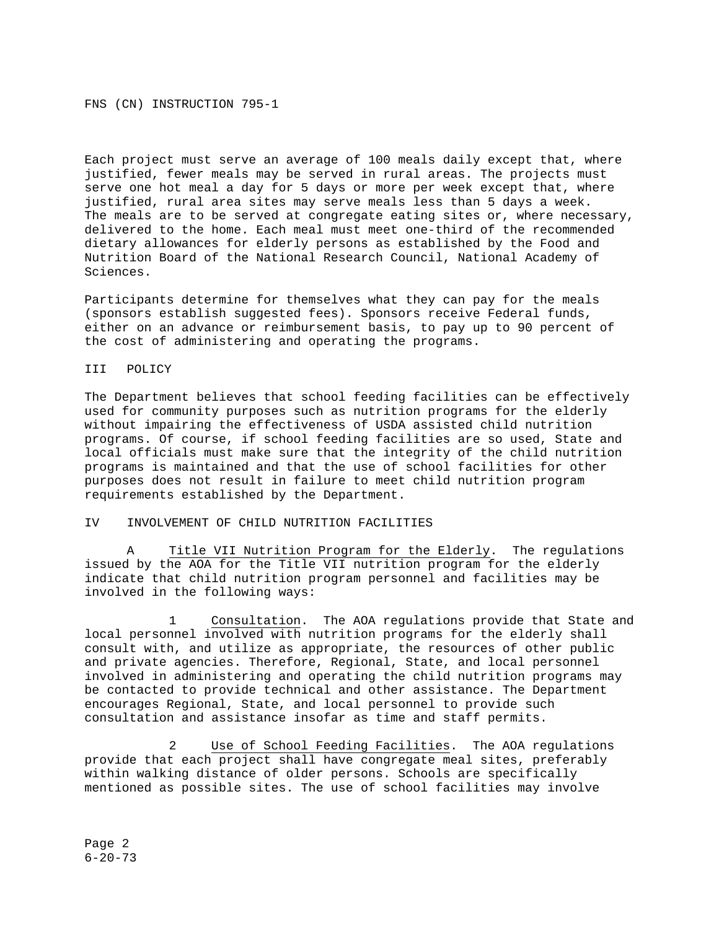FNS (CN) INSTRUCTION 795-1

Each project must serve an average of 100 meals daily except that, where justified, fewer meals may be served in rural areas. The projects must serve one hot meal a day for 5 days or more per week except that, where justified, rural area sites may serve meals less than 5 days a week. The meals are to be served at congregate eating sites or, where necessary, delivered to the home. Each meal must meet one-third of the recommended dietary allowances for elderly persons as established by the Food and Nutrition Board of the National Research Council, National Academy of Sciences.

Participants determine for themselves what they can pay for the meals (sponsors establish suggested fees). Sponsors receive Federal funds, either on an advance or reimbursement basis, to pay up to 90 percent of the cost of administering and operating the programs.

# III POLICY

The Department believes that school feeding facilities can be effectively used for community purposes such as nutrition programs for the elderly without impairing the effectiveness of USDA assisted child nutrition programs. Of course, if school feeding facilities are so used, State and local officials must make sure that the integrity of the child nutrition programs is maintained and that the use of school facilities for other purposes does not result in failure to meet child nutrition program requirements established by the Department.

# IV INVOLVEMENT OF CHILD NUTRITION FACILITIES

A Title VII Nutrition Program for the Elderly. The regulations issued by the AOA for the Title VII nutrition program for the elderly indicate that child nutrition program personnel and facilities may be involved in the following ways:

1 Consultation. The AOA regulations provide that State and local personnel involved with nutrition programs for the elderly shall consult with, and utilize as appropriate, the resources of other public and private agencies. Therefore, Regional, State, and local personnel involved in administering and operating the child nutrition programs may be contacted to provide technical and other assistance. The Department encourages Regional, State, and local personnel to provide such consultation and assistance insofar as time and staff permits.

2 Use of School Feeding Facilities. The AOA regulations provide that each project shall have congregate meal sites, preferably within walking distance of older persons. Schools are specifically mentioned as possible sites. The use of school facilities may involve

Page 2 6-20-73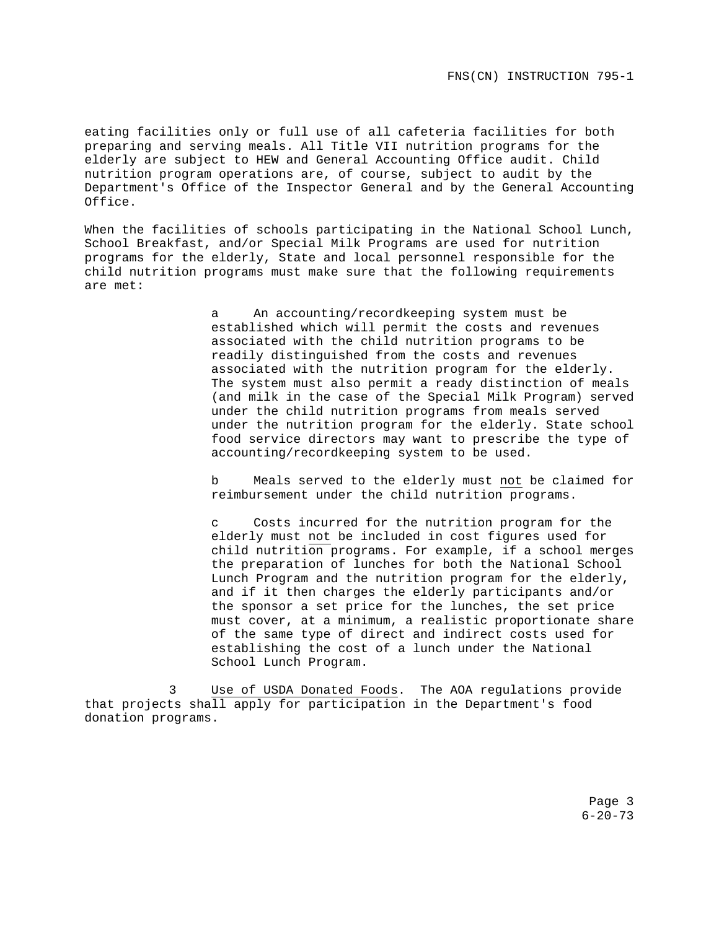eating facilities only or full use of all cafeteria facilities for both preparing and serving meals. All Title VII nutrition programs for the elderly are subject to HEW and General Accounting Office audit. Child nutrition program operations are, of course, subject to audit by the Department's Office of the Inspector General and by the General Accounting Office.

When the facilities of schools participating in the National School Lunch, School Breakfast, and/or Special Milk Programs are used for nutrition programs for the elderly, State and local personnel responsible for the child nutrition programs must make sure that the following requirements are met:

> a An accounting/recordkeeping system must be established which will permit the costs and revenues associated with the child nutrition programs to be readily distinguished from the costs and revenues associated with the nutrition program for the elderly. The system must also permit a ready distinction of meals (and milk in the case of the Special Milk Program) served under the child nutrition programs from meals served under the nutrition program for the elderly. State school food service directors may want to prescribe the type of accounting/recordkeeping system to be used.

> b Meals served to the elderly must not be claimed for reimbursement under the child nutrition programs.

> c Costs incurred for the nutrition program for the elderly must not be included in cost figures used for child nutrition programs. For example, if a school merges the preparation of lunches for both the National School Lunch Program and the nutrition program for the elderly, and if it then charges the elderly participants and/or the sponsor a set price for the lunches, the set price must cover, at a minimum, a realistic proportionate share of the same type of direct and indirect costs used for establishing the cost of a lunch under the National School Lunch Program.

3 Use of USDA Donated Foods. The AOA regulations provide that projects shall apply for participation in the Department's food donation programs.

> Page 3 6-20-73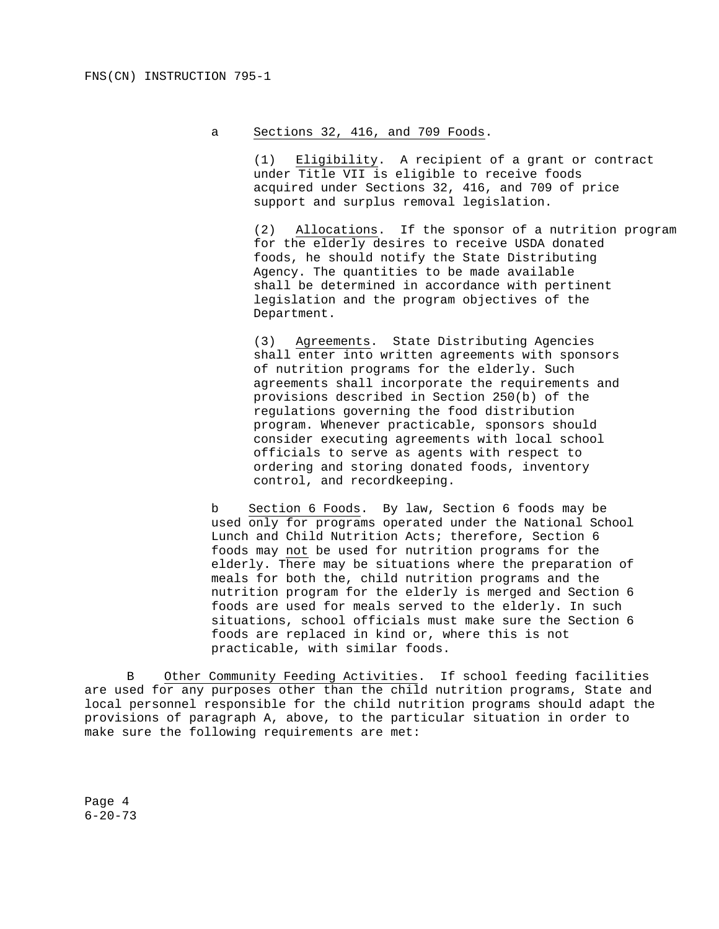# a Sections 32, 416, and 709 Foods.

 (1) Eligibility. A recipient of a grant or contract under Title VII is eligible to receive foods acquired under Sections 32, 416, and 709 of price support and surplus removal legislation.

 (2) Allocations. If the sponsor of a nutrition program for the elderly desires to receive USDA donated foods, he should notify the State Distributing Agency. The quantities to be made available shall be determined in accordance with pertinent legislation and the program objectives of the Department.

(3) Agreements. State Distributing Agencies shall enter into written agreements with sponsors of nutrition programs for the elderly. Such agreements shall incorporate the requirements and provisions described in Section 250(b) of the regulations governing the food distribution program. Whenever practicable, sponsors should consider executing agreements with local school officials to serve as agents with respect to ordering and storing donated foods, inventory control, and recordkeeping.

b Section 6 Foods. By law, Section 6 foods may be used only for programs operated under the National School Lunch and Child Nutrition Acts; therefore, Section 6 foods may not be used for nutrition programs for the elderly. There may be situations where the preparation of meals for both the, child nutrition programs and the nutrition program for the elderly is merged and Section 6 foods are used for meals served to the elderly. In such situations, school officials must make sure the Section 6 foods are replaced in kind or, where this is not practicable, with similar foods.

B Other Community Feeding Activities. If school feeding facilities are used for any purposes other than the child nutrition programs, State and local personnel responsible for the child nutrition programs should adapt the provisions of paragraph A, above, to the particular situation in order to make sure the following requirements are met:

Page 4 6-20-73